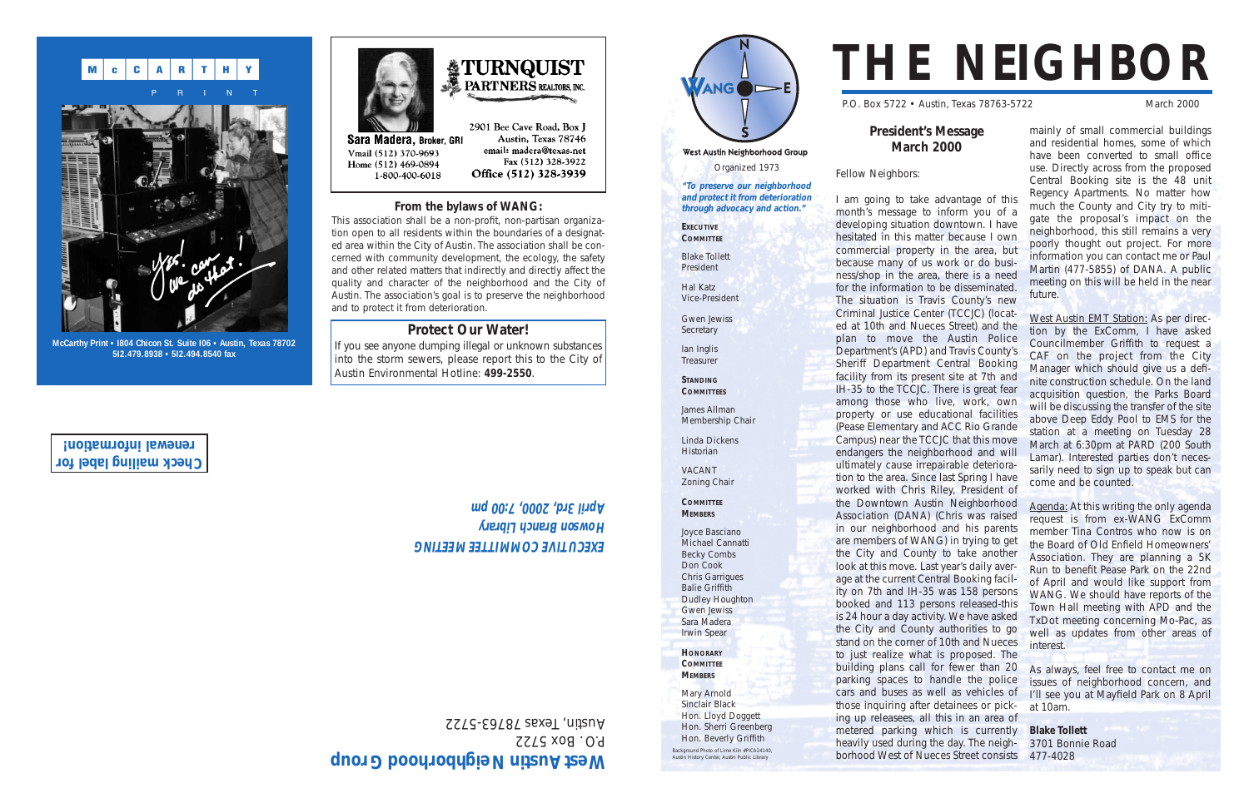Organized 1973 **"To preserve our neighborhood and protect it from deterioration through advocacy and action."**

West Austin Neighborhood Group

ANG DE

**EXECUTIVE COMMITTEE** Blake Tollett President Hal Katz Vice-President Gwen Jewiss

**STANDING**

**COMMITTEES**



James Allman

Membership Chair

Linda Dickens **Historian** VACANT Zoning Chair **COMMITTEE MEMBERS**

Joyce Basciano Michael Cannatti Becky Combs Don Cook Chris Garrigues Balie Griffith Dudley Houghton Gwen Jewiss Sara Madera Irwin Spear **HONORARY COMMITTEE MEMBERS** Mary Arnold Sinclair Black Hon. Lloyd Doggett Hon. Sherri Greenberg Hon. Beverly Griffith

# **THE NEIGHBOR**

P.O. Box 5722 • Austin, Texas 78763-5722 March 2000

## **President's Message March 2000**

Fellow Neighbors:

If you see anyone dumping illegal or unknown substances into the storm sewers, please report this to the City of Austin Environmental Hotline: **499-2550**.

I am going to take advantage of this month's message to inform you of a developing situation downtown. I have hesitated in this matter because I own commercial property in the area, but because many of us work or do business/shop in the area, there is a need for the information to be disseminated. The situation is Travis County's new Criminal Justice Center (TCCJC) (located at 10th and Nueces Street) and the plan to move the Austin Police Department's (APD) and Travis County's Sheriff Department Central Booking facility from its present site at 7th and IH-35 to the TCCJC. There is great fear among those who live, work, own property or use educational facilities (Pease Elementary and ACC Rio Grande Campus) near the TCCJC that this move endangers the neighborhood and will ultimately cause irrepairable deterioration to the area. Since last Spring I have worked with Chris Riley, President of the Downtown Austin Neighborhood Association (DANA) (Chris was raised in our neighborhood and his parents are members of WANG) in trying to get the City and County to take another look at this move. Last year's daily average at the current Central Booking facility on 7th and IH-35 was 158 persons booked and 113 persons released-this is 24 hour a day activity. We have asked the City and County authorities to go stand on the corner of 10th and Nueces to just realize what is proposed. The building plans call for fewer than 20 parking spaces to handle the police cars and buses as well as vehicles of those inquiring after detainees or picking up releasees, all this in an area of metered parking which is currently heavily used during the day. The neighborhood West of Nueces Street consists 477-4028

## EXECOLINE COWWILLEE WEELING **Howson Branch Library April 3rd, 2000, 7:00 pm**

mainly of small commercial buildings and residential homes, some of which have been converted to small office use. Directly across from the proposed Central Booking site is the 48 unit Regency Apartments. No matter how much the County and City try to mitigate the proposal's impact on the neighborhood, this still remains a very poorly thought out project. For more information you can contact me or Paul Martin (477-5855) of DANA. A public meeting on this will be held in the near future.

West Austin EMT Station: As per direction by the ExComm, I have asked Councilmember Griffith to request a CAF on the project from the City Manager which should give us a definite construction schedule. On the land acquisition question, the Parks Board will be discussing the transfer of the site above Deep Eddy Pool to EMS for the station at a meeting on Tuesday 28 March at 6:30pm at PARD (200 South Lamar). Interested parties don't necessarily need to sign up to speak but can come and be counted.

Agenda: At this writing the only agenda request is from ex-WANG ExComm member Tina Contros who now is on the Board of Old Enfield Homeowners' Association. They are planning a 5K Run to benefit Pease Park on the 22nd of April and would like support from WANG. We should have reports of the Town Hall meeting with APD and the TxDot meeting concerning Mo-Pac, as well as updates from other areas of interest.

As always, feel free to contact me on issues of neighborhood concern, and I'll see you at Mayfield Park on 8 April at 10am.

**Blake Tollett** 3701 Bonnie Road

### **From the bylaws of WANG:**

This association shall be a non-profit, non-partisan organization open to all residents within the boundaries of a designated area within the City of Austin. The association shall be concerned with community development, the ecology, the safety and other related matters that indirectly and directly affect the quality and character of the neighborhood and the City of Austin. The association's goal is to preserve the neighborhood and to protect it from deterioration.

**Protect Our Water!**

**Secretary** Ian Inglis **Treasurer** 

Background Photo of Lime Kiln #PICA24140, Austin History Center, Austin Public Library





**McCarthy Print • I804 Chicon St. Suite I06 • Austin, Texas 78702 5I2.479.8938 • 5I2.494.8540 fax**

# West Austin Neighborhood Group

P.O. Box 5722 Austin, Texas 78763-5722

**Check mailing label for renewal information!**